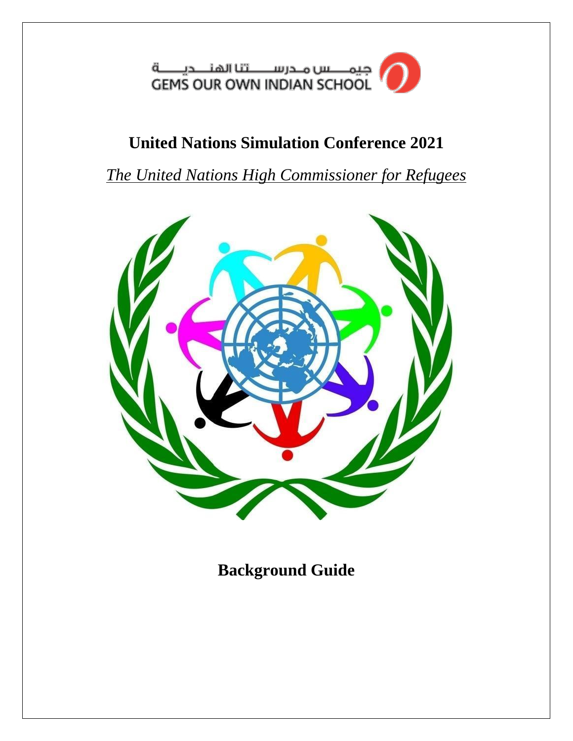جیمــــــس مــدرســــــــتنا الهنـــــدیـــــــة<br>GEMS OUR OWN INDIAN SCHOOL

# **United Nations Simulation Conference 2021**

*The United Nations High Commissioner for Refugees*



**Background Guide**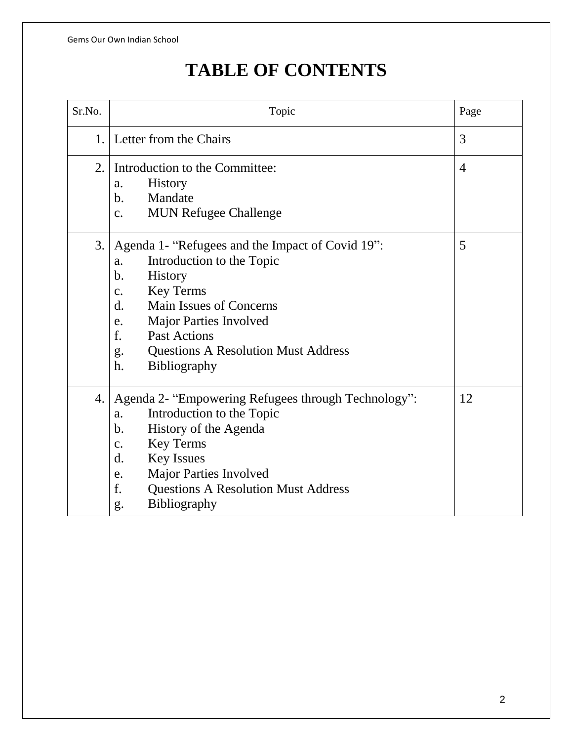# **TABLE OF CONTENTS**

| Sr.No. | Topic                                                                                                                                                                                                                                                                                                                                                                | Page           |
|--------|----------------------------------------------------------------------------------------------------------------------------------------------------------------------------------------------------------------------------------------------------------------------------------------------------------------------------------------------------------------------|----------------|
| 1.     | Letter from the Chairs                                                                                                                                                                                                                                                                                                                                               | 3              |
| 2.1    | Introduction to the Committee:<br><b>History</b><br>a.<br>b.<br>Mandate<br><b>MUN Refugee Challenge</b><br>$\mathbf{c}$ .                                                                                                                                                                                                                                            | $\overline{4}$ |
| 3.     | Agenda 1- "Refugees and the Impact of Covid 19":<br>Introduction to the Topic<br>a.<br>$\mathbf b$ .<br><b>History</b><br><b>Key Terms</b><br>$C_{\bullet}$<br><b>Main Issues of Concerns</b><br>$\mathbf{d}$ .<br><b>Major Parties Involved</b><br>e.<br>f.<br><b>Past Actions</b><br><b>Questions A Resolution Must Address</b><br>g.<br>h.<br><b>Bibliography</b> | 5              |
| 4.     | Agenda 2- "Empowering Refugees through Technology":<br>Introduction to the Topic<br>a.<br>History of the Agenda<br>$\mathbf b$ .<br><b>Key Terms</b><br>c.<br><b>Key Issues</b><br>d.<br><b>Major Parties Involved</b><br>e.<br>f.<br><b>Questions A Resolution Must Address</b><br><b>Bibliography</b><br>g.                                                        | 12             |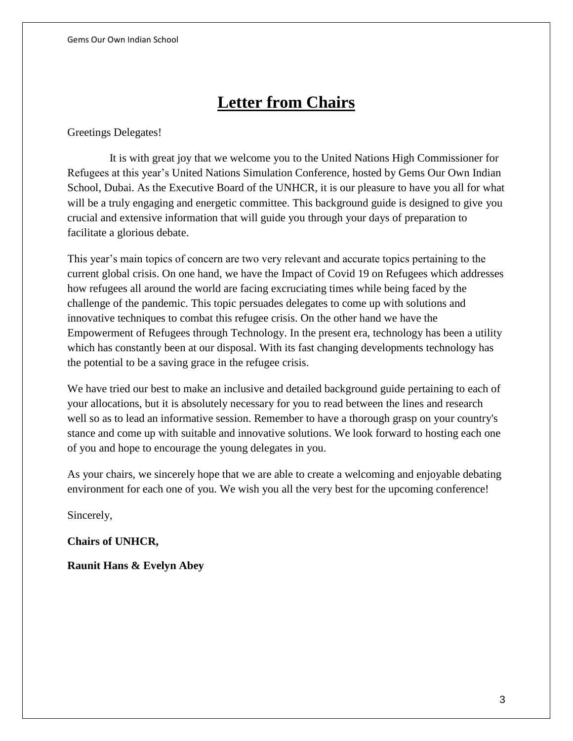# **Letter from Chairs**

Greetings Delegates!

 It is with great joy that we welcome you to the United Nations High Commissioner for Refugees at this year's United Nations Simulation Conference, hosted by Gems Our Own Indian School, Dubai. As the Executive Board of the UNHCR, it is our pleasure to have you all for what will be a truly engaging and energetic committee. This background guide is designed to give you crucial and extensive information that will guide you through your days of preparation to facilitate a glorious debate.

This year's main topics of concern are two very relevant and accurate topics pertaining to the current global crisis. On one hand, we have the Impact of Covid 19 on Refugees which addresses how refugees all around the world are facing excruciating times while being faced by the challenge of the pandemic. This topic persuades delegates to come up with solutions and innovative techniques to combat this refugee crisis. On the other hand we have the Empowerment of Refugees through Technology. In the present era, technology has been a utility which has constantly been at our disposal. With its fast changing developments technology has the potential to be a saving grace in the refugee crisis.

We have tried our best to make an inclusive and detailed background guide pertaining to each of your allocations, but it is absolutely necessary for you to read between the lines and research well so as to lead an informative session. Remember to have a thorough grasp on your country's stance and come up with suitable and innovative solutions. We look forward to hosting each one of you and hope to encourage the young delegates in you.

As your chairs, we sincerely hope that we are able to create a welcoming and enjoyable debating environment for each one of you. We wish you all the very best for the upcoming conference!

Sincerely,

**Chairs of UNHCR,**

**Raunit Hans & Evelyn Abey**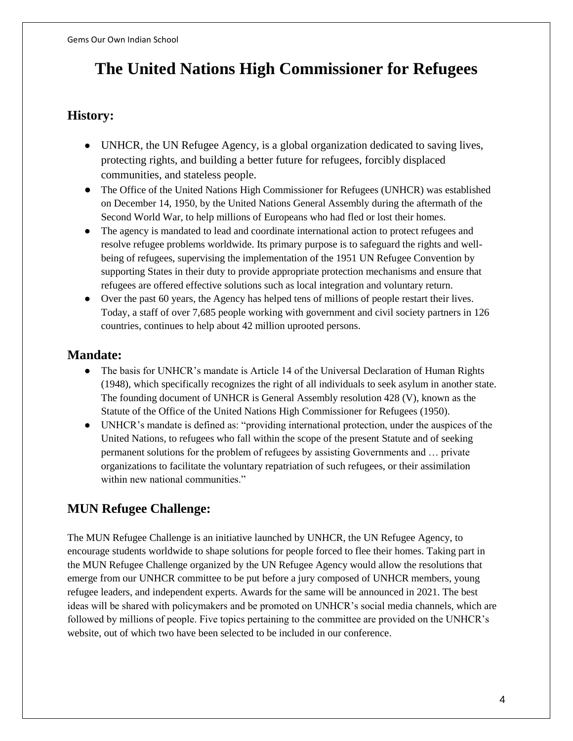# **The United Nations High Commissioner for Refugees**

### **History:**

- UNHCR, the UN Refugee Agency, is a global organization dedicated to saving lives, protecting rights, and building a better future for refugees, forcibly displaced communities, and stateless people.
- The Office of the United Nations High Commissioner for Refugees (UNHCR) was established on December 14, 1950, by the United Nations General Assembly during the aftermath of the Second World War, to help millions of Europeans who had fled or lost their homes.
- The agency is mandated to lead and coordinate international action to protect refugees and resolve refugee problems worldwide. Its primary purpose is to safeguard the rights and wellbeing of refugees, supervising the implementation of the 1951 UN Refugee Convention by supporting States in their duty to provide appropriate protection mechanisms and ensure that refugees are offered effective solutions such as local integration and voluntary return.
- Over the past 60 years, the Agency has helped tens of millions of people restart their lives. Today, a staff of over 7,685 people working with government and civil society partners in 126 countries, continues to help about 42 million uprooted persons.

### **Mandate:**

- The basis for UNHCR's mandate is Article 14 of the Universal Declaration of Human Rights (1948), which specifically recognizes the right of all individuals to seek asylum in another state. The founding document of UNHCR is General Assembly resolution 428 (V), known as the Statute of the Office of the United Nations High Commissioner for Refugees (1950).
- UNHCR's mandate is defined as: "providing international protection, under the auspices of the United Nations, to refugees who fall within the scope of the present Statute and of seeking permanent solutions for the problem of refugees by assisting Governments and … private organizations to facilitate the voluntary repatriation of such refugees, or their assimilation within new national communities."

## **MUN Refugee Challenge:**

The MUN Refugee Challenge is an initiative launched by UNHCR, the UN Refugee Agency, to encourage students worldwide to shape solutions for people forced to flee their homes. Taking part in the MUN Refugee Challenge organized by the UN Refugee Agency would allow the resolutions that emerge from our UNHCR committee to be put before a jury composed of UNHCR members, young refugee leaders, and independent experts. Awards for the same will be announced in 2021. The best ideas will be shared with policymakers and be promoted on UNHCR's social media channels, which are followed by millions of people. Five topics pertaining to the committee are provided on the UNHCR's website, out of which two have been selected to be included in our conference.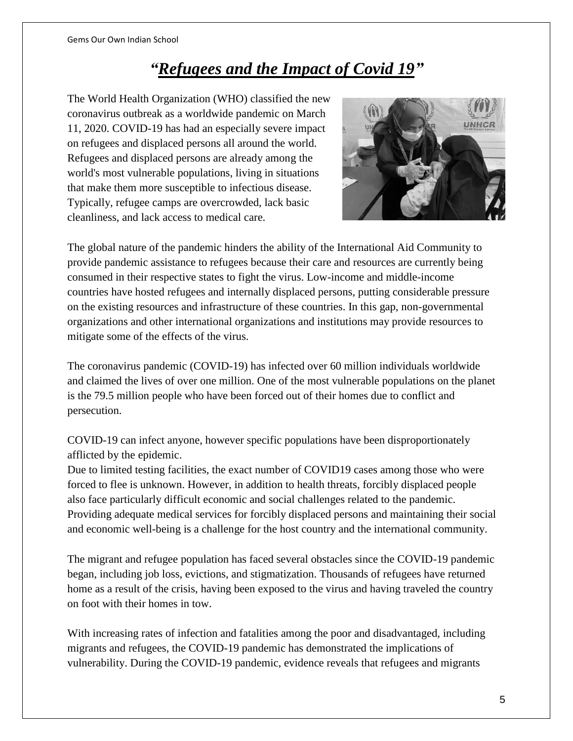# *"Refugees and the Impact of Covid 19"*

The World Health Organization (WHO) classified the new coronavirus outbreak as a worldwide pandemic on March 11, 2020. COVID-19 has had an especially severe impact on refugees and displaced persons all around the world. Refugees and displaced persons are already among the world's most vulnerable populations, living in situations that make them more susceptible to infectious disease. Typically, refugee camps are overcrowded, lack basic cleanliness, and lack access to medical care.



The global nature of the pandemic hinders the ability of the International Aid Community to provide pandemic assistance to refugees because their care and resources are currently being consumed in their respective states to fight the virus. Low-income and middle-income countries have hosted refugees and internally displaced persons, putting considerable pressure on the existing resources and infrastructure of these countries. In this gap, non-governmental organizations and other international organizations and institutions may provide resources to mitigate some of the effects of the virus.

The coronavirus pandemic (COVID-19) has infected over 60 million individuals worldwide and claimed the lives of over one million. One of the most vulnerable populations on the planet is the 79.5 million people who have been forced out of their homes due to conflict and persecution.

COVID-19 can infect anyone, however specific populations have been disproportionately afflicted by the epidemic.

Due to limited testing facilities, the exact number of COVID19 cases among those who were forced to flee is unknown. However, in addition to health threats, forcibly displaced people also face particularly difficult economic and social challenges related to the pandemic. Providing adequate medical services for forcibly displaced persons and maintaining their social and economic well-being is a challenge for the host country and the international community.

The migrant and refugee population has faced several obstacles since the COVID-19 pandemic began, including job loss, evictions, and stigmatization. Thousands of refugees have returned home as a result of the crisis, having been exposed to the virus and having traveled the country on foot with their homes in tow.

With increasing rates of infection and fatalities among the poor and disadvantaged, including migrants and refugees, the COVID-19 pandemic has demonstrated the implications of vulnerability. During the COVID-19 pandemic, evidence reveals that refugees and migrants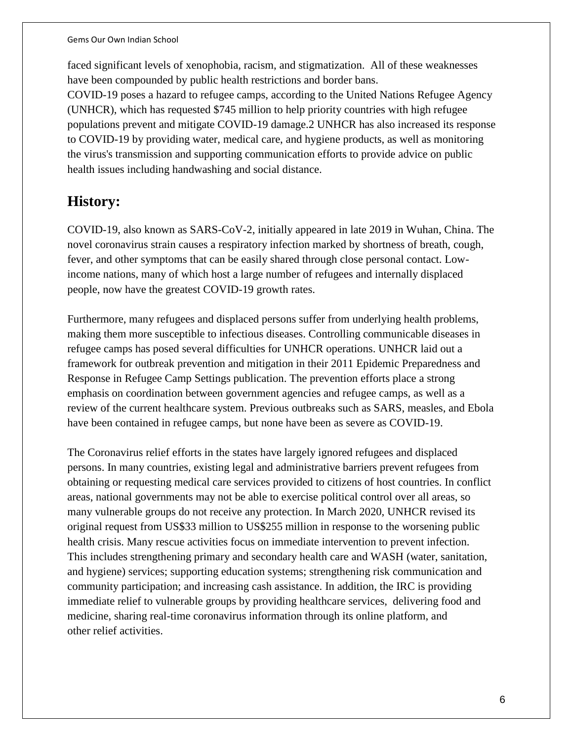faced significant levels of xenophobia, racism, and stigmatization. All of these weaknesses have been compounded by public health restrictions and border bans.

COVID-19 poses a hazard to refugee camps, according to the United Nations Refugee Agency (UNHCR), which has requested \$745 million to help priority countries with high refugee populations prevent and mitigate COVID-19 damage.2 UNHCR has also increased its response to COVID-19 by providing water, medical care, and hygiene products, as well as monitoring the virus's transmission and supporting communication efforts to provide advice on public health issues including handwashing and social distance.

## **History:**

COVID-19, also known as SARS-CoV-2, initially appeared in late 2019 in Wuhan, China. The novel coronavirus strain causes a respiratory infection marked by shortness of breath, cough, fever, and other symptoms that can be easily shared through close personal contact. Lowincome nations, many of which host a large number of refugees and internally displaced people, now have the greatest COVID-19 growth rates.

Furthermore, many refugees and displaced persons suffer from underlying health problems, making them more susceptible to infectious diseases. Controlling communicable diseases in refugee camps has posed several difficulties for UNHCR operations. UNHCR laid out a framework for outbreak prevention and mitigation in their 2011 Epidemic Preparedness and Response in Refugee Camp Settings publication. The prevention efforts place a strong emphasis on coordination between government agencies and refugee camps, as well as a review of the current healthcare system. Previous outbreaks such as SARS, measles, and Ebola have been contained in refugee camps, but none have been as severe as COVID-19.

The Coronavirus relief efforts in the states have largely ignored refugees and displaced persons. In many countries, existing legal and administrative barriers prevent refugees from obtaining or requesting medical care services provided to citizens of host countries. In conflict areas, national governments may not be able to exercise political control over all areas, so many vulnerable groups do not receive any protection. In March 2020, UNHCR revised its original request from US\$33 million to US\$255 million in response to the worsening public health crisis. Many rescue activities focus on immediate intervention to prevent infection. This includes strengthening primary and secondary health care and WASH (water, sanitation, and hygiene) services; supporting education systems; strengthening risk communication and community participation; and increasing cash assistance. In addition, the IRC is providing immediate relief to vulnerable groups by providing healthcare services, delivering food and medicine, sharing real-time coronavirus information through its online platform, and other relief activities.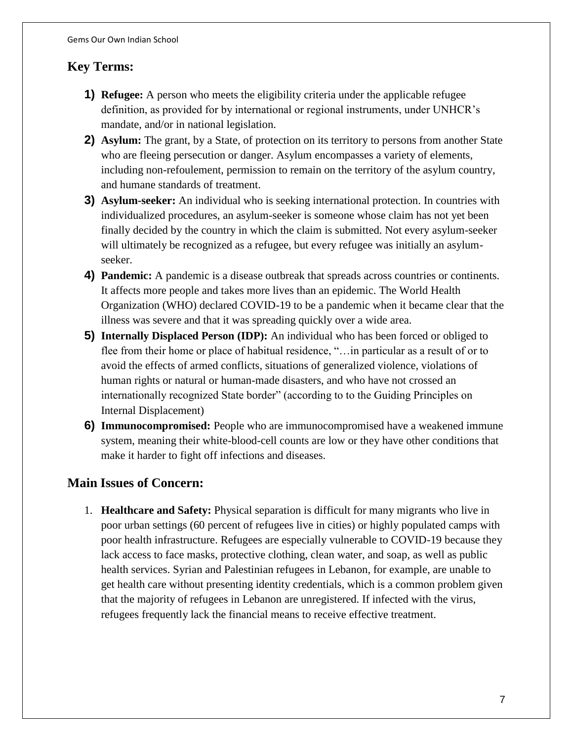## **Key Terms:**

- **1) Refugee:** A person who meets the eligibility criteria under the applicable refugee definition, as provided for by international or regional instruments, under UNHCR's mandate, and/or in national legislation.
- **2) Asylum:** The grant, by a State, of protection on its territory to persons from another State who are fleeing persecution or danger. Asylum encompasses a variety of elements, including non-refoulement, permission to remain on the territory of the asylum country, and humane standards of treatment.
- **3) Asylum-seeker:** An individual who is seeking international protection. In countries with individualized procedures, an asylum-seeker is someone whose claim has not yet been finally decided by the country in which the claim is submitted. Not every asylum-seeker will ultimately be recognized as a refugee, but every refugee was initially an asylumseeker.
- **4) Pandemic:** A pandemic is a disease outbreak that spreads across countries or continents. It affects more people and takes more lives than an epidemic. The World Health Organization (WHO) declared COVID-19 to be a pandemic when it became clear that the illness was severe and that it was spreading quickly over a wide area.
- **5) Internally Displaced Person (IDP):** An individual who has been forced or obliged to flee from their home or place of habitual residence, "…in particular as a result of or to avoid the effects of armed conflicts, situations of generalized violence, violations of human rights or natural or human-made disasters, and who have not crossed an internationally recognized State border" (according to to the Guiding Principles on Internal Displacement)
- **6) Immunocompromised:** People who are immunocompromised have a weakened immune system, meaning their white-blood-cell counts are low or they have other conditions that make it harder to fight off infections and diseases.

### **Main Issues of Concern:**

1. **Healthcare and Safety:** Physical separation is difficult for many migrants who live in poor urban settings (60 percent of refugees live in cities) or highly populated camps with poor health infrastructure. Refugees are especially vulnerable to COVID-19 because they lack access to face masks, protective clothing, clean water, and soap, as well as public health services. Syrian and Palestinian refugees in Lebanon, for example, are unable to get health care without presenting identity credentials, which is a common problem given that the majority of refugees in Lebanon are unregistered. If infected with the virus, refugees frequently lack the financial means to receive effective treatment.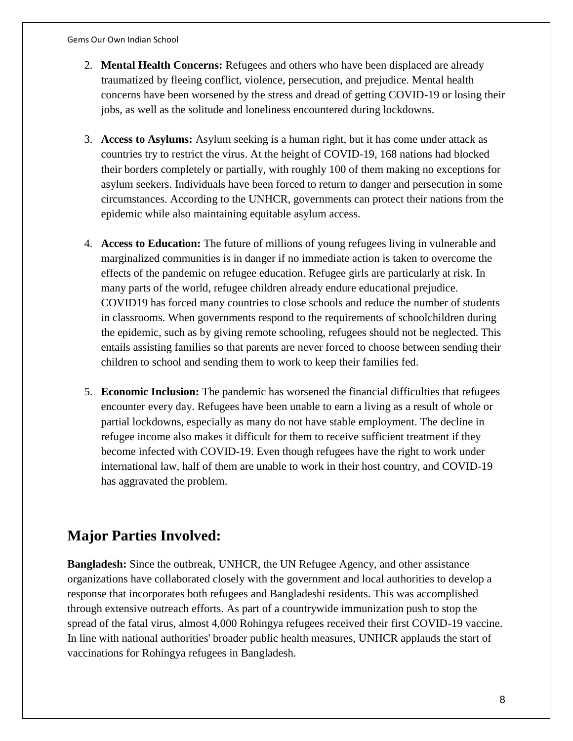- 2. **Mental Health Concerns:** Refugees and others who have been displaced are already traumatized by fleeing conflict, violence, persecution, and prejudice. Mental health concerns have been worsened by the stress and dread of getting COVID-19 or losing their jobs, as well as the solitude and loneliness encountered during lockdowns.
- 3. **Access to Asylums:** Asylum seeking is a human right, but it has come under attack as countries try to restrict the virus. At the height of COVID-19, 168 nations had blocked their borders completely or partially, with roughly 100 of them making no exceptions for asylum seekers. Individuals have been forced to return to danger and persecution in some circumstances. According to the UNHCR, governments can protect their nations from the epidemic while also maintaining equitable asylum access.
- 4. **Access to Education:** The future of millions of young refugees living in vulnerable and marginalized communities is in danger if no immediate action is taken to overcome the effects of the pandemic on refugee education. Refugee girls are particularly at risk. In many parts of the world, refugee children already endure educational prejudice. COVID19 has forced many countries to close schools and reduce the number of students in classrooms. When governments respond to the requirements of schoolchildren during the epidemic, such as by giving remote schooling, refugees should not be neglected. This entails assisting families so that parents are never forced to choose between sending their children to school and sending them to work to keep their families fed.
- 5. **Economic Inclusion:** The pandemic has worsened the financial difficulties that refugees encounter every day. Refugees have been unable to earn a living as a result of whole or partial lockdowns, especially as many do not have stable employment. The decline in refugee income also makes it difficult for them to receive sufficient treatment if they become infected with COVID-19. Even though refugees have the right to work under international law, half of them are unable to work in their host country, and COVID-19 has aggravated the problem.

# **Major Parties Involved:**

**Bangladesh:** Since the outbreak, UNHCR, the UN Refugee Agency, and other assistance organizations have collaborated closely with the government and local authorities to develop a response that incorporates both refugees and Bangladeshi residents. This was accomplished through extensive outreach efforts. As part of a countrywide immunization push to stop the spread of the fatal virus, almost 4,000 Rohingya refugees received their first COVID-19 vaccine. In line with national authorities' broader public health measures, UNHCR applauds the start of vaccinations for Rohingya refugees in Bangladesh.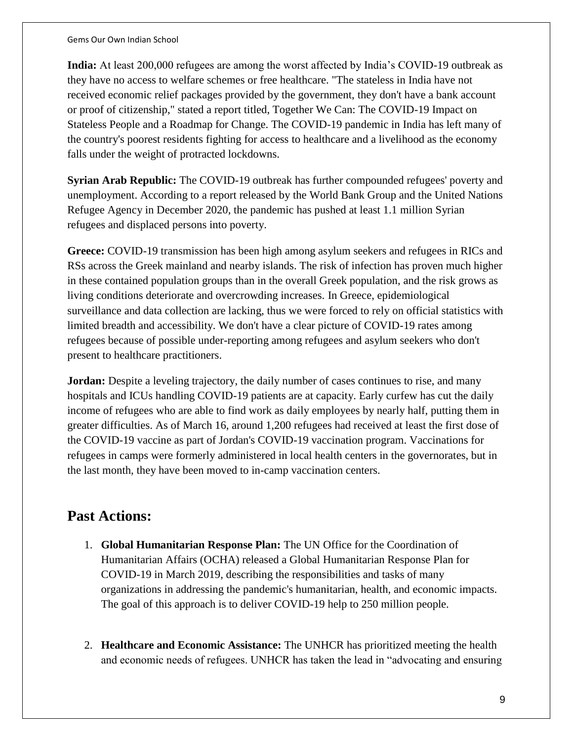**India:** At least 200,000 refugees are among the worst affected by India's COVID-19 outbreak as they have no access to welfare schemes or free healthcare. "The stateless in India have not received economic relief packages provided by the government, they don't have a bank account or proof of citizenship," stated a report titled, Together We Can: The COVID-19 Impact on Stateless People and a Roadmap for Change. The COVID-19 pandemic in India has left many of the country's poorest residents fighting for access to healthcare and a livelihood as the economy falls under the weight of protracted lockdowns.

**Syrian Arab Republic:** The COVID-19 outbreak has further compounded refugees' poverty and unemployment. According to a report released by the World Bank Group and the United Nations Refugee Agency in December 2020, the pandemic has pushed at least 1.1 million Syrian refugees and displaced persons into poverty.

**Greece:** COVID-19 transmission has been high among asylum seekers and refugees in RICs and RSs across the Greek mainland and nearby islands. The risk of infection has proven much higher in these contained population groups than in the overall Greek population, and the risk grows as living conditions deteriorate and overcrowding increases. In Greece, epidemiological surveillance and data collection are lacking, thus we were forced to rely on official statistics with limited breadth and accessibility. We don't have a clear picture of COVID-19 rates among refugees because of possible under-reporting among refugees and asylum seekers who don't present to healthcare practitioners.

**Jordan:** Despite a leveling trajectory, the daily number of cases continues to rise, and many hospitals and ICUs handling COVID-19 patients are at capacity. Early curfew has cut the daily income of refugees who are able to find work as daily employees by nearly half, putting them in greater difficulties. As of March 16, around 1,200 refugees had received at least the first dose of the COVID-19 vaccine as part of Jordan's COVID-19 vaccination program. Vaccinations for refugees in camps were formerly administered in local health centers in the governorates, but in the last month, they have been moved to in-camp vaccination centers.

## **Past Actions:**

- 1. **Global Humanitarian Response Plan:** The UN Office for the Coordination of Humanitarian Affairs (OCHA) released a Global Humanitarian Response Plan for COVID-19 in March 2019, describing the responsibilities and tasks of many organizations in addressing the pandemic's humanitarian, health, and economic impacts. The goal of this approach is to deliver COVID-19 help to 250 million people.
- 2. **Healthcare and Economic Assistance:** The UNHCR has prioritized meeting the health and economic needs of refugees. UNHCR has taken the lead in "advocating and ensuring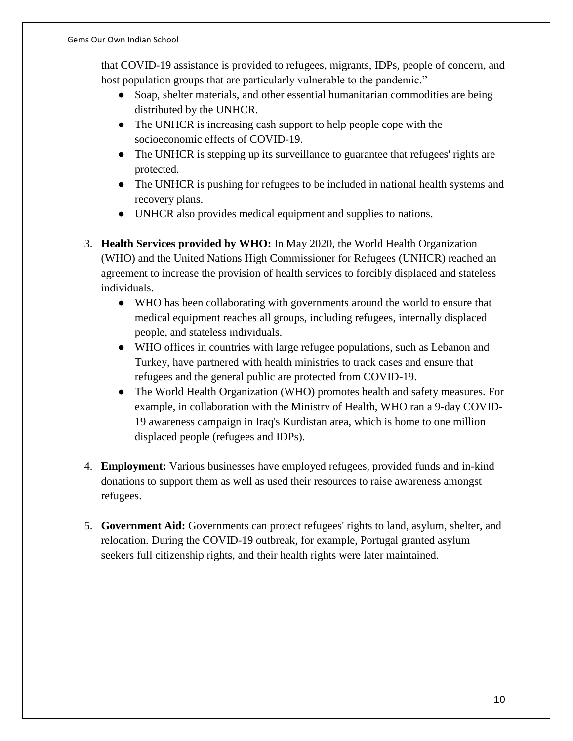that COVID-19 assistance is provided to refugees, migrants, IDPs, people of concern, and host population groups that are particularly vulnerable to the pandemic."

- Soap, shelter materials, and other essential humanitarian commodities are being distributed by the UNHCR.
- The UNHCR is increasing cash support to help people cope with the socioeconomic effects of COVID-19.
- The UNHCR is stepping up its surveillance to guarantee that refugees' rights are protected.
- The UNHCR is pushing for refugees to be included in national health systems and recovery plans.
- UNHCR also provides medical equipment and supplies to nations.
- 3. **Health Services provided by WHO:** In May 2020, the World Health Organization (WHO) and the United Nations High Commissioner for Refugees (UNHCR) reached an agreement to increase the provision of health services to forcibly displaced and stateless individuals.
	- WHO has been collaborating with governments around the world to ensure that medical equipment reaches all groups, including refugees, internally displaced people, and stateless individuals.
	- WHO offices in countries with large refugee populations, such as Lebanon and Turkey, have partnered with health ministries to track cases and ensure that refugees and the general public are protected from COVID-19.
	- The World Health Organization (WHO) promotes health and safety measures. For example, in collaboration with the Ministry of Health, WHO ran a 9-day COVID-19 awareness campaign in Iraq's Kurdistan area, which is home to one million displaced people (refugees and IDPs).
- 4. **Employment:** Various businesses have employed refugees, provided funds and in-kind donations to support them as well as used their resources to raise awareness amongst refugees.
- 5. **Government Aid:** Governments can protect refugees' rights to land, asylum, shelter, and relocation. During the COVID-19 outbreak, for example, Portugal granted asylum seekers full citizenship rights, and their health rights were later maintained.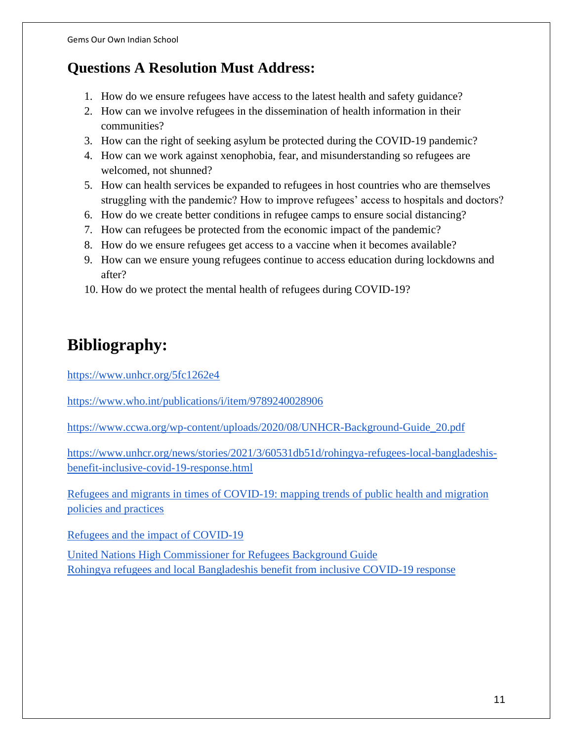# **Questions A Resolution Must Address:**

- 1. How do we ensure refugees have access to the latest health and safety guidance?
- 2. How can we involve refugees in the dissemination of health information in their communities?
- 3. How can the right of seeking asylum be protected during the COVID-19 pandemic?
- 4. How can we work against xenophobia, fear, and misunderstanding so refugees are welcomed, not shunned?
- 5. How can health services be expanded to refugees in host countries who are themselves struggling with the pandemic? How to improve refugees' access to hospitals and doctors?
- 6. How do we create better conditions in refugee camps to ensure social distancing?
- 7. How can refugees be protected from the economic impact of the pandemic?
- 8. How do we ensure refugees get access to a vaccine when it becomes available?
- 9. How can we ensure young refugees continue to access education during lockdowns and after?
- 10. How do we protect the mental health of refugees during COVID-19?

# **Bibliography:**

<https://www.unhcr.org/5fc1262e4>

<https://www.who.int/publications/i/item/9789240028906>

[https://www.ccwa.org/wp-content/uploads/2020/08/UNHCR-Background-Guide\\_20.pdf](https://www.ccwa.org/wp-content/uploads/2020/08/UNHCR-Background-Guide_20.pdf)

[https://www.unhcr.org/news/stories/2021/3/60531db51d/rohingya-refugees-local-bangladeshis](https://www.unhcr.org/news/stories/2021/3/60531db51d/rohingya-refugees-local-bangladeshis-benefit-inclusive-covid-19-response.html)[benefit-inclusive-covid-19-response.html](https://www.unhcr.org/news/stories/2021/3/60531db51d/rohingya-refugees-local-bangladeshis-benefit-inclusive-covid-19-response.html)

[Refugees and migrants in times of COVID-19: mapping trends of public health and migration](https://www.who.int/publications/i/item/9789240028906)  [policies and practices](https://www.who.int/publications/i/item/9789240028906) 

[Refugees and the impact](https://www.unhcr.org/5fc1262e4) of COVID-19

[United Nations High Commissioner for Refugees Background Guide](https://www.ccwa.org/wp-content/uploads/2020/08/UNHCR-Background-Guide_20.pdf)  [Rohingya refugees and local Bangladeshis benefit from inclusive COVID-19 response](https://www.unhcr.org/news/stories/2021/3/60531db51d/rohingya-refugees-local-bangladeshis-benefit-inclusive-covid-19-response.html)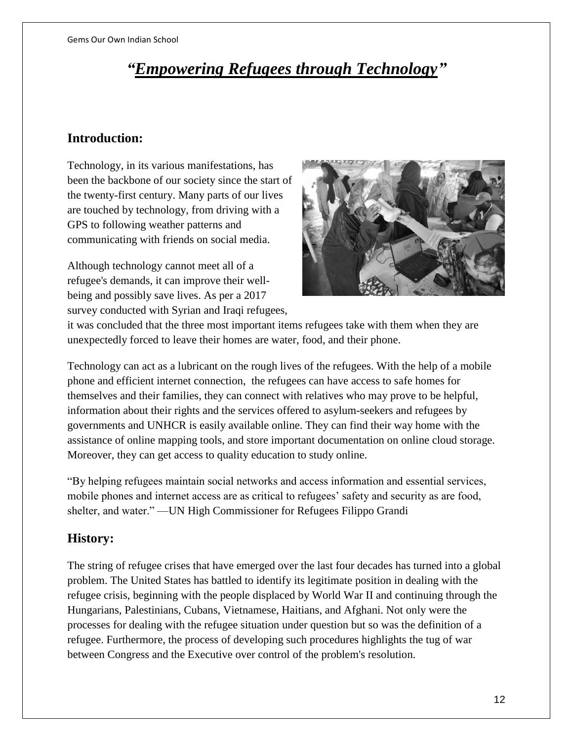# *"Empowering Refugees through Technology"*

## **Introduction:**

Technology, in its various manifestations, has been the backbone of our society since the start of the twenty-first century. Many parts of our lives are touched by technology, from driving with a GPS to following weather patterns and communicating with friends on social media.

Although technology cannot meet all of a refugee's demands, it can improve their wellbeing and possibly save lives. As per a 2017 survey conducted with Syrian and Iraqi refugees,



it was concluded that the three most important items refugees take with them when they are unexpectedly forced to leave their homes are water, food, and their phone.

Technology can act as a lubricant on the rough lives of the refugees. With the help of a mobile phone and efficient internet connection, the refugees can have access to safe homes for themselves and their families, they can connect with relatives who may prove to be helpful, information about their rights and the services offered to asylum-seekers and refugees by governments and UNHCR is easily available online. They can find their way home with the assistance of online mapping tools, and store important documentation on online cloud storage. Moreover, they can get access to quality education to study online.

"By helping refugees maintain social networks and access information and essential services, mobile phones and internet access are as critical to refugees' safety and security as are food, shelter, and water." —UN High Commissioner for Refugees Filippo Grandi

## **History:**

The string of refugee crises that have emerged over the last four decades has turned into a global problem. The United States has battled to identify its legitimate position in dealing with the refugee crisis, beginning with the people displaced by World War II and continuing through the Hungarians, Palestinians, Cubans, Vietnamese, Haitians, and Afghani. Not only were the processes for dealing with the refugee situation under question but so was the definition of a refugee. Furthermore, the process of developing such procedures highlights the tug of war between Congress and the Executive over control of the problem's resolution.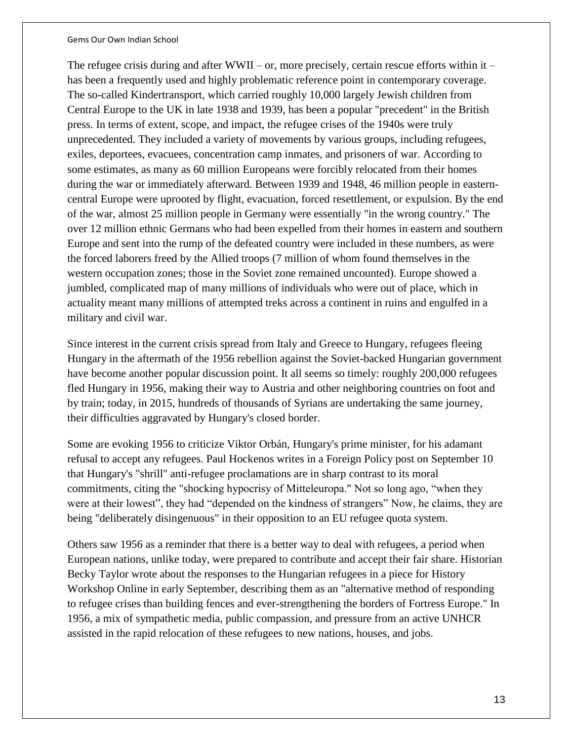The refugee crisis during and after WWII – or, more precisely, certain rescue efforts within it – has been a frequently used and highly problematic reference point in contemporary coverage. The so-called Kindertransport, which carried roughly 10,000 largely Jewish children from Central Europe to the UK in late 1938 and 1939, has been a popular "precedent" in the British press. In terms of extent, scope, and impact, the refugee crises of the 1940s were truly unprecedented. They included a variety of movements by various groups, including refugees, exiles, deportees, evacuees, concentration camp inmates, and prisoners of war. According to some estimates, as many as 60 million Europeans were forcibly relocated from their homes during the war or immediately afterward. Between 1939 and 1948, 46 million people in easterncentral Europe were uprooted by flight, evacuation, forced resettlement, or expulsion. By the end of the war, almost 25 million people in Germany were essentially "in the wrong country." The over 12 million ethnic Germans who had been expelled from their homes in eastern and southern Europe and sent into the rump of the defeated country were included in these numbers, as were the forced laborers freed by the Allied troops (7 million of whom found themselves in the western occupation zones; those in the Soviet zone remained uncounted). Europe showed a jumbled, complicated map of many millions of individuals who were out of place, which in actuality meant many millions of attempted treks across a continent in ruins and engulfed in a military and civil war.

Since interest in the current crisis spread from Italy and Greece to Hungary, refugees fleeing Hungary in the aftermath of the 1956 rebellion against the Soviet-backed Hungarian government have become another popular discussion point. It all seems so timely: roughly 200,000 refugees fled Hungary in 1956, making their way to Austria and other neighboring countries on foot and by train; today, in 2015, hundreds of thousands of Syrians are undertaking the same journey, their difficulties aggravated by Hungary's closed border.

Some are evoking 1956 to criticize Viktor Orbán, Hungary's prime minister, for his adamant refusal to accept any refugees. Paul Hockenos writes in a Foreign Policy post on September 10 that Hungary's "shrill" anti-refugee proclamations are in sharp contrast to its moral commitments, citing the "shocking hypocrisy of Mitteleuropa." Not so long ago, "when they were at their lowest", they had "depended on the kindness of strangers" Now, he claims, they are being "deliberately disingenuous" in their opposition to an EU refugee quota system.

Others saw 1956 as a reminder that there is a better way to deal with refugees, a period when European nations, unlike today, were prepared to contribute and accept their fair share. Historian Becky Taylor wrote about the responses to the Hungarian refugees in a piece for History Workshop Online in early September, describing them as an "alternative method of responding to refugee crises than building fences and ever-strengthening the borders of Fortress Europe." In 1956, a mix of sympathetic media, public compassion, and pressure from an active UNHCR assisted in the rapid relocation of these refugees to new nations, houses, and jobs.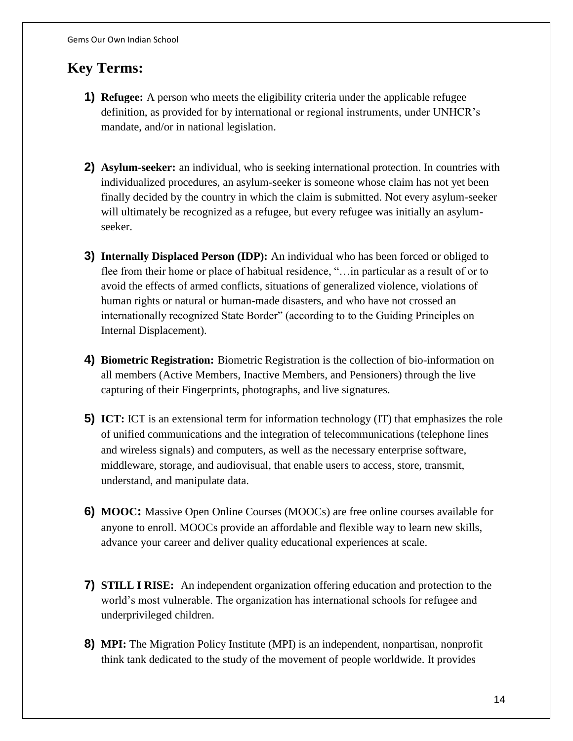# **Key Terms:**

- **1) Refugee:** A person who meets the eligibility criteria under the applicable refugee definition, as provided for by international or regional instruments, under UNHCR's mandate, and/or in national legislation.
- **2) Asylum-seeker:** an individual, who is seeking international protection. In countries with individualized procedures, an asylum-seeker is someone whose claim has not yet been finally decided by the country in which the claim is submitted. Not every asylum-seeker will ultimately be recognized as a refugee, but every refugee was initially an asylumseeker.
- **3) Internally Displaced Person (IDP):** An individual who has been forced or obliged to flee from their home or place of habitual residence, "…in particular as a result of or to avoid the effects of armed conflicts, situations of generalized violence, violations of human rights or natural or human-made disasters, and who have not crossed an internationally recognized State Border" (according to to the Guiding Principles on Internal Displacement).
- **4) Biometric Registration:** Biometric Registration is the collection of bio-information on all members (Active Members, Inactive Members, and Pensioners) through the live capturing of their Fingerprints, photographs, and live signatures.
- **5) ICT:** ICT is an extensional term for information technology (IT) that emphasizes the role of unified communications and the integration of telecommunications (telephone lines and wireless signals) and computers, as well as the necessary enterprise software, middleware, storage, and audiovisual, that enable users to access, store, transmit, understand, and manipulate data.
- **6) MOOC:** Massive Open Online Courses (MOOCs) are free online courses available for anyone to enroll. MOOCs provide an affordable and flexible way to learn new skills, advance your career and deliver quality educational experiences at scale.
- **7) STILL I RISE:** An independent organization offering education and protection to the world's most vulnerable. The organization has international schools for refugee and underprivileged children.
- **8) MPI:** The Migration Policy Institute (MPI) is an independent, nonpartisan, nonprofit think tank dedicated to the study of the movement of people worldwide. It provides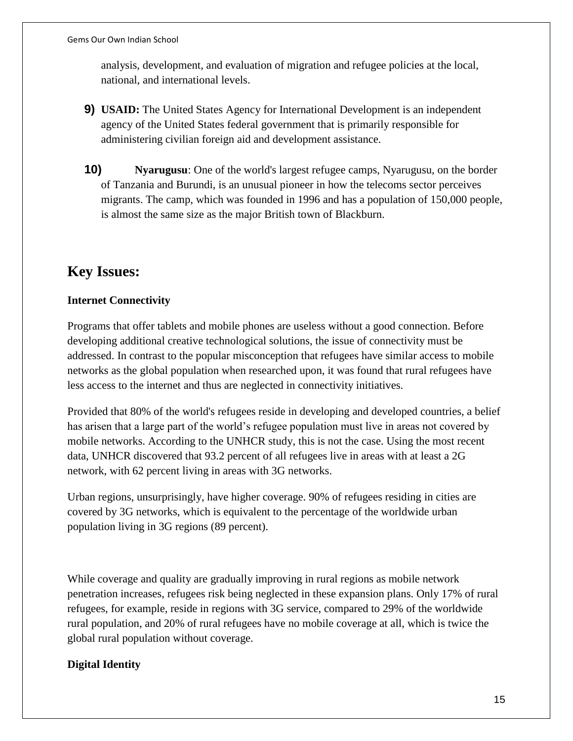analysis, development, and evaluation of migration and refugee policies at the local, national, and international levels.

- **9) USAID:** The United States Agency for International Development is an independent agency of the United States federal government that is primarily responsible for administering civilian foreign aid and development assistance.
- **10) Nyarugusu**: One of the world's largest refugee camps, Nyarugusu, on the border of Tanzania and Burundi, is an unusual pioneer in how the telecoms sector perceives migrants. The camp, which was founded in 1996 and has a population of 150,000 people, is almost the same size as the major British town of Blackburn.

# **Key Issues:**

### **Internet Connectivity**

Programs that offer tablets and mobile phones are useless without a good connection. Before developing additional creative technological solutions, the issue of connectivity must be addressed. In contrast to the popular misconception that refugees have similar access to mobile networks as the global population when researched upon, it was found that rural refugees have less access to the internet and thus are neglected in connectivity initiatives.

Provided that 80% of the world's refugees reside in developing and developed countries, a belief has arisen that a large part of the world's refugee population must live in areas not covered by mobile networks. According to the UNHCR study, this is not the case. Using the most recent data, UNHCR discovered that 93.2 percent of all refugees live in areas with at least a 2G network, with 62 percent living in areas with 3G networks.

Urban regions, unsurprisingly, have higher coverage. 90% of refugees residing in cities are covered by 3G networks, which is equivalent to the percentage of the worldwide urban population living in 3G regions (89 percent).

While coverage and quality are gradually improving in rural regions as mobile network penetration increases, refugees risk being neglected in these expansion plans. Only 17% of rural refugees, for example, reside in regions with 3G service, compared to 29% of the worldwide rural population, and 20% of rural refugees have no mobile coverage at all, which is twice the global rural population without coverage.

### **Digital Identity**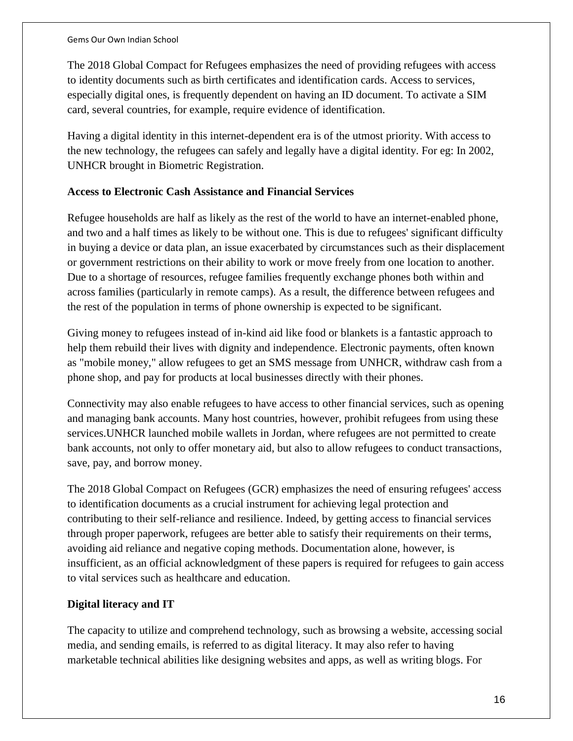The 2018 Global Compact for Refugees emphasizes the need of providing refugees with access to identity documents such as birth certificates and identification cards. Access to services, especially digital ones, is frequently dependent on having an ID document. To activate a SIM card, several countries, for example, require evidence of identification.

Having a digital identity in this internet-dependent era is of the utmost priority. With access to the new technology, the refugees can safely and legally have a digital identity. For eg: In 2002, UNHCR brought in Biometric Registration.

### **Access to Electronic Cash Assistance and Financial Services**

Refugee households are half as likely as the rest of the world to have an internet-enabled phone, and two and a half times as likely to be without one. This is due to refugees' significant difficulty in buying a device or data plan, an issue exacerbated by circumstances such as their displacement or government restrictions on their ability to work or move freely from one location to another. Due to a shortage of resources, refugee families frequently exchange phones both within and across families (particularly in remote camps). As a result, the difference between refugees and the rest of the population in terms of phone ownership is expected to be significant.

Giving money to refugees instead of in-kind aid like food or blankets is a fantastic approach to help them rebuild their lives with dignity and independence. Electronic payments, often known as "mobile money," allow refugees to get an SMS message from UNHCR, withdraw cash from a phone shop, and pay for products at local businesses directly with their phones.

Connectivity may also enable refugees to have access to other financial services, such as opening and managing bank accounts. Many host countries, however, prohibit refugees from using these services.UNHCR launched mobile wallets in Jordan, where refugees are not permitted to create bank accounts, not only to offer monetary aid, but also to allow refugees to conduct transactions, save, pay, and borrow money.

The 2018 Global Compact on Refugees (GCR) emphasizes the need of ensuring refugees' access to identification documents as a crucial instrument for achieving legal protection and contributing to their self-reliance and resilience. Indeed, by getting access to financial services through proper paperwork, refugees are better able to satisfy their requirements on their terms, avoiding aid reliance and negative coping methods. Documentation alone, however, is insufficient, as an official acknowledgment of these papers is required for refugees to gain access to vital services such as healthcare and education.

### **Digital literacy and IT**

The capacity to utilize and comprehend technology, such as browsing a website, accessing social media, and sending emails, is referred to as digital literacy. It may also refer to having marketable technical abilities like designing websites and apps, as well as writing blogs. For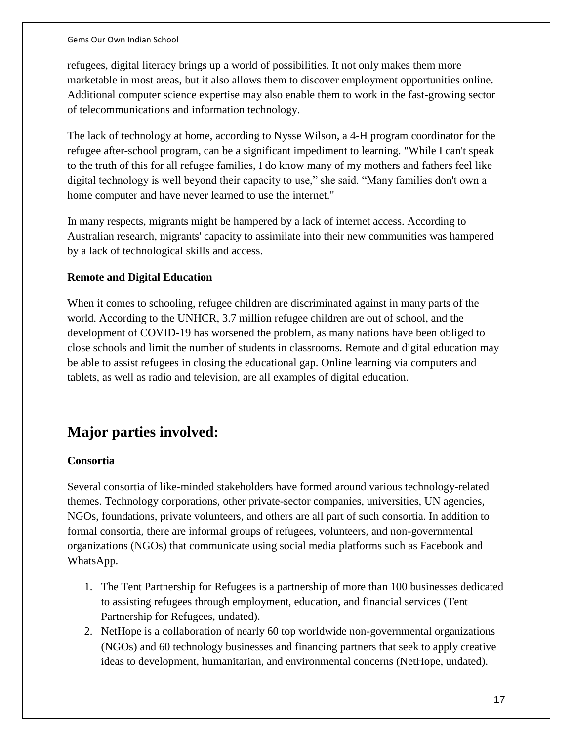refugees, digital literacy brings up a world of possibilities. It not only makes them more marketable in most areas, but it also allows them to discover employment opportunities online. Additional computer science expertise may also enable them to work in the fast-growing sector of telecommunications and information technology.

The lack of technology at home, according to Nysse Wilson, a 4-H program coordinator for the refugee after-school program, can be a significant impediment to learning. "While I can't speak to the truth of this for all refugee families, I do know many of my mothers and fathers feel like digital technology is well beyond their capacity to use," she said. "Many families don't own a home computer and have never learned to use the internet."

In many respects, migrants might be hampered by a lack of internet access. According to Australian research, migrants' capacity to assimilate into their new communities was hampered by a lack of technological skills and access.

#### **Remote and Digital Education**

When it comes to schooling, refugee children are discriminated against in many parts of the world. According to the UNHCR, 3.7 million refugee children are out of school, and the development of COVID-19 has worsened the problem, as many nations have been obliged to close schools and limit the number of students in classrooms. Remote and digital education may be able to assist refugees in closing the educational gap. Online learning via computers and tablets, as well as radio and television, are all examples of digital education.

# **Major parties involved:**

#### **Consortia**

Several consortia of like-minded stakeholders have formed around various technology-related themes. Technology corporations, other private-sector companies, universities, UN agencies, NGOs, foundations, private volunteers, and others are all part of such consortia. In addition to formal consortia, there are informal groups of refugees, volunteers, and non-governmental organizations (NGOs) that communicate using social media platforms such as Facebook and WhatsApp.

- 1. The Tent Partnership for Refugees is a partnership of more than 100 businesses dedicated to assisting refugees through employment, education, and financial services (Tent Partnership for Refugees, undated).
- 2. NetHope is a collaboration of nearly 60 top worldwide non-governmental organizations (NGOs) and 60 technology businesses and financing partners that seek to apply creative ideas to development, humanitarian, and environmental concerns (NetHope, undated).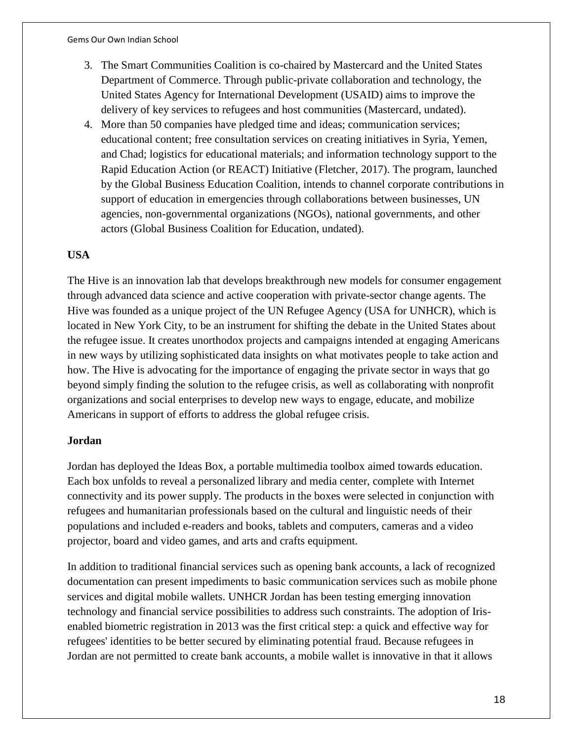- 3. The Smart Communities Coalition is co-chaired by Mastercard and the United States Department of Commerce. Through public-private collaboration and technology, the United States Agency for International Development (USAID) aims to improve the delivery of key services to refugees and host communities (Mastercard, undated).
- 4. More than 50 companies have pledged time and ideas; communication services; educational content; free consultation services on creating initiatives in Syria, Yemen, and Chad; logistics for educational materials; and information technology support to the Rapid Education Action (or REACT) Initiative (Fletcher, 2017). The program, launched by the Global Business Education Coalition, intends to channel corporate contributions in support of education in emergencies through collaborations between businesses, UN agencies, non-governmental organizations (NGOs), national governments, and other actors (Global Business Coalition for Education, undated).

### **USA**

The Hive is an innovation lab that develops breakthrough new models for consumer engagement through advanced data science and active cooperation with private-sector change agents. The Hive was founded as a unique project of the UN Refugee Agency (USA for UNHCR), which is located in New York City, to be an instrument for shifting the debate in the United States about the refugee issue. It creates unorthodox projects and campaigns intended at engaging Americans in new ways by utilizing sophisticated data insights on what motivates people to take action and how. The Hive is advocating for the importance of engaging the private sector in ways that go beyond simply finding the solution to the refugee crisis, as well as collaborating with nonprofit organizations and social enterprises to develop new ways to engage, educate, and mobilize Americans in support of efforts to address the global refugee crisis.

#### **Jordan**

Jordan has deployed the Ideas Box, a portable multimedia toolbox aimed towards education. Each box unfolds to reveal a personalized library and media center, complete with Internet connectivity and its power supply. The products in the boxes were selected in conjunction with refugees and humanitarian professionals based on the cultural and linguistic needs of their populations and included e-readers and books, tablets and computers, cameras and a video projector, board and video games, and arts and crafts equipment.

In addition to traditional financial services such as opening bank accounts, a lack of recognized documentation can present impediments to basic communication services such as mobile phone services and digital mobile wallets. UNHCR Jordan has been testing emerging innovation technology and financial service possibilities to address such constraints. The adoption of Irisenabled biometric registration in 2013 was the first critical step: a quick and effective way for refugees' identities to be better secured by eliminating potential fraud. Because refugees in Jordan are not permitted to create bank accounts, a mobile wallet is innovative in that it allows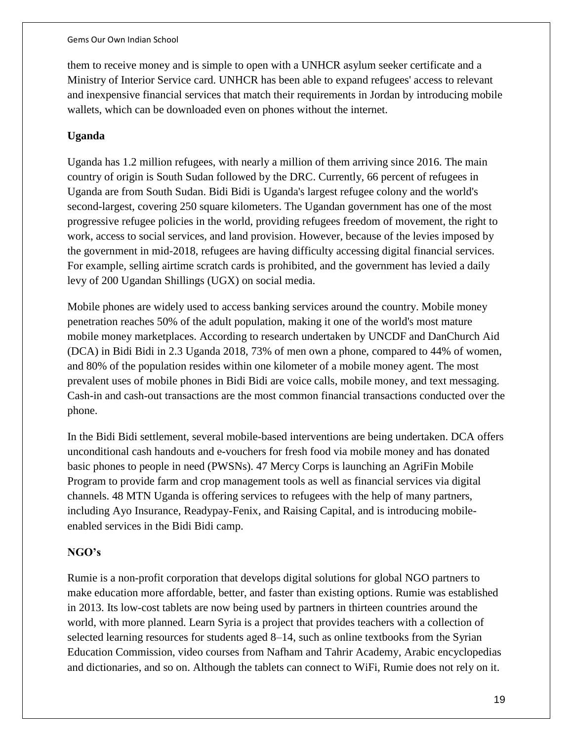them to receive money and is simple to open with a UNHCR asylum seeker certificate and a Ministry of Interior Service card. UNHCR has been able to expand refugees' access to relevant and inexpensive financial services that match their requirements in Jordan by introducing mobile wallets, which can be downloaded even on phones without the internet.

#### **Uganda**

Uganda has 1.2 million refugees, with nearly a million of them arriving since 2016. The main country of origin is South Sudan followed by the DRC. Currently, 66 percent of refugees in Uganda are from South Sudan. Bidi Bidi is Uganda's largest refugee colony and the world's second-largest, covering 250 square kilometers. The Ugandan government has one of the most progressive refugee policies in the world, providing refugees freedom of movement, the right to work, access to social services, and land provision. However, because of the levies imposed by the government in mid-2018, refugees are having difficulty accessing digital financial services. For example, selling airtime scratch cards is prohibited, and the government has levied a daily levy of 200 Ugandan Shillings (UGX) on social media.

Mobile phones are widely used to access banking services around the country. Mobile money penetration reaches 50% of the adult population, making it one of the world's most mature mobile money marketplaces. According to research undertaken by UNCDF and DanChurch Aid (DCA) in Bidi Bidi in 2.3 Uganda 2018, 73% of men own a phone, compared to 44% of women, and 80% of the population resides within one kilometer of a mobile money agent. The most prevalent uses of mobile phones in Bidi Bidi are voice calls, mobile money, and text messaging. Cash-in and cash-out transactions are the most common financial transactions conducted over the phone.

In the Bidi Bidi settlement, several mobile-based interventions are being undertaken. DCA offers unconditional cash handouts and e-vouchers for fresh food via mobile money and has donated basic phones to people in need (PWSNs). 47 Mercy Corps is launching an AgriFin Mobile Program to provide farm and crop management tools as well as financial services via digital channels. 48 MTN Uganda is offering services to refugees with the help of many partners, including Ayo Insurance, Readypay-Fenix, and Raising Capital, and is introducing mobileenabled services in the Bidi Bidi camp.

#### **NGO's**

Rumie is a non-profit corporation that develops digital solutions for global NGO partners to make education more affordable, better, and faster than existing options. Rumie was established in 2013. Its low-cost tablets are now being used by partners in thirteen countries around the world, with more planned. Learn Syria is a project that provides teachers with a collection of selected learning resources for students aged 8–14, such as online textbooks from the Syrian Education Commission, video courses from Nafham and Tahrir Academy, Arabic encyclopedias and dictionaries, and so on. Although the tablets can connect to WiFi, Rumie does not rely on it.